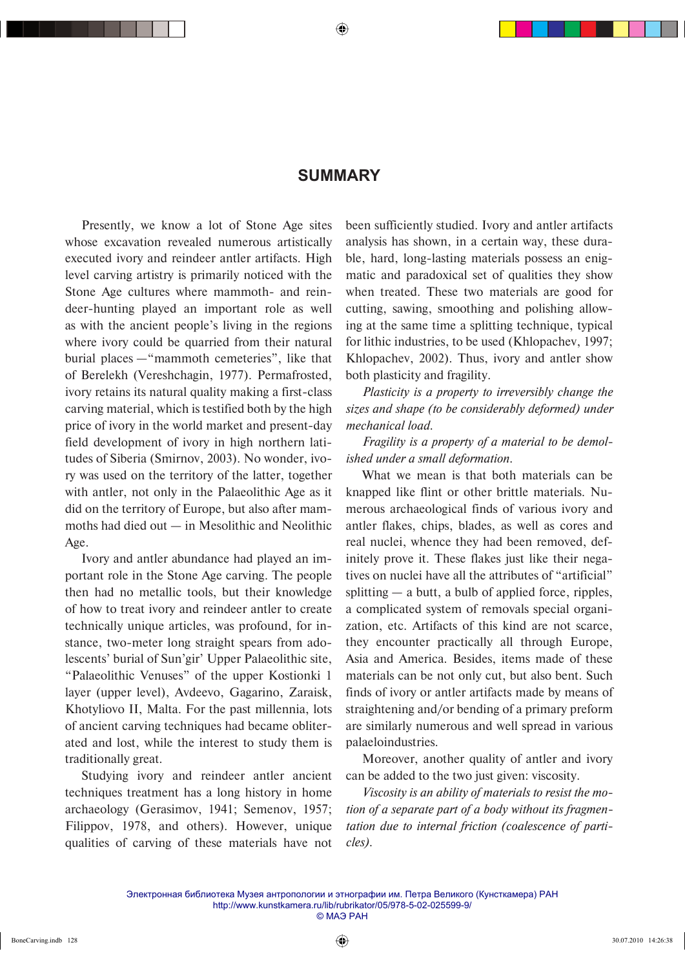## **SUMMARY**

Presently, we know a lot of Stone Age sites whose excavation revealed numerous artistically executed ivory and reindeer antler artifacts. High level carving artistry is primarily noticed with the Stone Age cultures where mammoth- and reindeer-hunting played an important role as well as with the ancient people's living in the regions where ivory could be quarried from their natural burial places —"mammoth cemeteries", like that of Berelekh (Vereshchagin, 1977). Permafrosted, ivory retains its natural quality making a first-class carving material, which is testified both by the high price of ivory in the world market and present-day field development of ivory in high northern latitudes of Siberia (Smirnov, 2003). No wonder, ivory was used on the territory of the latter, together with antler, not only in the Palaeolithic Age as it did on the territory of Europe, but also after mammoths had died out — in Mesolithic and Neolithic Age.

Ivory and antler abundance had played an important role in the Stone Age carving. The people then had no metallic tools, but their knowledge of how to treat ivory and reindeer antler to create technically unique articles, was profound, for instance, two-meter long straight spears from adolescents' burial of Sun'gir' Upper Palaeolithic site, "Palaeolithic Venuses" of the upper Kostionki 1 layer (upper level), Avdeevo, Gagarino, Zaraisk, Khotyliovo II, Malta. For the past millennia, lots of ancient carving techniques had became obliterated and lost, while the interest to study them is traditionally great.

Studying ivory and reindeer antler ancient techniques treatment has a long history in home archaeology (Gerasimov, 1941; Semenov, 1957; Filippov, 1978, and others). However, unique qualities of carving of these materials have not been sufficiently studied. Ivory and antler artifacts analysis has shown, in a certain way, these durable, hard, long-lasting materials possess an enigmatic and paradoxical set of qualities they show when treated. These two materials are good for cutting, sawing, smoothing and polishing allowing at the same time a splitting technique, typical for lithic industries, to be used (Khlopachev, 1997; Khlopachev, 2002). Thus, ivory and antler show both plasticity and fragility.

*Plasticity is a property to irreversibly change the sizes and shape (to be considerably deformed) under mechanical load.*

*Fragility is a property of a material to be demolished under a small deformation.*

What we mean is that both materials can be knapped like flint or other brittle materials. Numerous archaeological finds of various ivory and antler flakes, chips, blades, as well as cores and real nuclei, whence they had been removed, definitely prove it. These flakes just like their negatives on nuclei have all the attributes of "artificial" splitting  $-$  a butt, a bulb of applied force, ripples, a complicated system of removals special organization, etc. Artifacts of this kind are not scarce, they encounter practically all through Europe, Asia and America. Besides, items made of these materials can be not only cut, but also bent. Such finds of ivory or antler artifacts made by means of straightening and/or bending of a primary preform are similarly numerous and well spread in various palaeloindustries.

Moreover, another quality of antler and ivory can be added to the two just given: viscosity.

*Viscosity is an ability of materials to resist the motion of a separate part of a body without its fragmentation due to internal friction (coalescence of particles).*